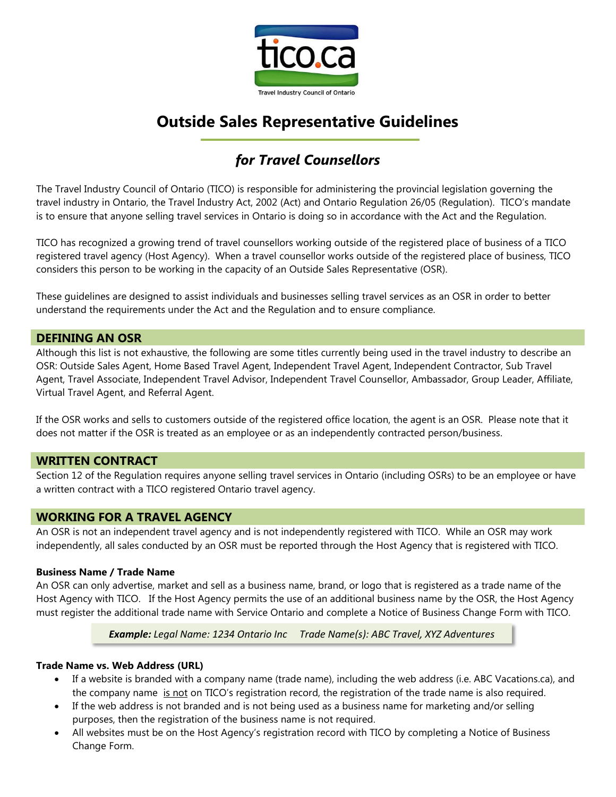

# **Outside Sales Representative Guidelines**

# *for Travel Counsellors*

The Travel Industry Council of Ontario (TICO) is responsible for administering the provincial legislation governing the travel industry in Ontario, the Travel Industry Act, 2002 (Act) and Ontario Regulation 26/05 (Regulation). TICO's mandate is to ensure that anyone selling travel services in Ontario is doing so in accordance with the Act and the Regulation.

TICO has recognized a growing trend of travel counsellors working outside of the registered place of business of a TICO registered travel agency (Host Agency). When a travel counsellor works outside of the registered place of business, TICO considers this person to be working in the capacity of an Outside Sales Representative (OSR).

These guidelines are designed to assist individuals and businesses selling travel services as an OSR in order to better understand the requirements under the Act and the Regulation and to ensure compliance.

# **DEFINING AN OSR**

Although this list is not exhaustive, the following are some titles currently being used in the travel industry to describe an OSR: Outside Sales Agent, Home Based Travel Agent, Independent Travel Agent, Independent Contractor, Sub Travel Agent, Travel Associate, Independent Travel Advisor, Independent Travel Counsellor, Ambassador, Group Leader, Affiliate, Virtual Travel Agent, and Referral Agent.

If the OSR works and sells to customers outside of the registered office location, the agent is an OSR. Please note that it does not matter if the OSR is treated as an employee or as an independently contracted person/business.

## **WRITTEN CONTRACT**

Section 12 of the Regulation requires anyone selling travel services in Ontario (including OSRs) to be an employee or have a written contract with a TICO registered Ontario travel agency.

# **WORKING FOR A TRAVEL AGENCY**

An OSR is not an independent travel agency and is not independently registered with TICO. While an OSR may work independently, all sales conducted by an OSR must be reported through the Host Agency that is registered with TICO.

## **Business Name / Trade Name**

An OSR can only advertise, market and sell as a business name, brand, or logo that is registered as a trade name of the Host Agency with TICO. If the Host Agency permits the use of an additional business name by the OSR, the Host Agency must register the additional trade name with Service Ontario and complete a Notice of Business Change Form with TICO.

#### *Example: Legal Name: 1234 Ontario Inc Trade Name(s): ABC Travel, XYZ Adventures*

## **Trade Name vs. Web Address (URL)**

- If a website is branded with a company name (trade name), including the web address (i.e. ABC Vacations.ca), and the company name is not on TICO's registration record, the registration of the trade name is also required.
- If the web address is not branded and is not being used as a business name for marketing and/or selling purposes, then the registration of the business name is not required.
- All websites must be on the Host Agency's registration record with TICO by completing a Notice of Business Change Form.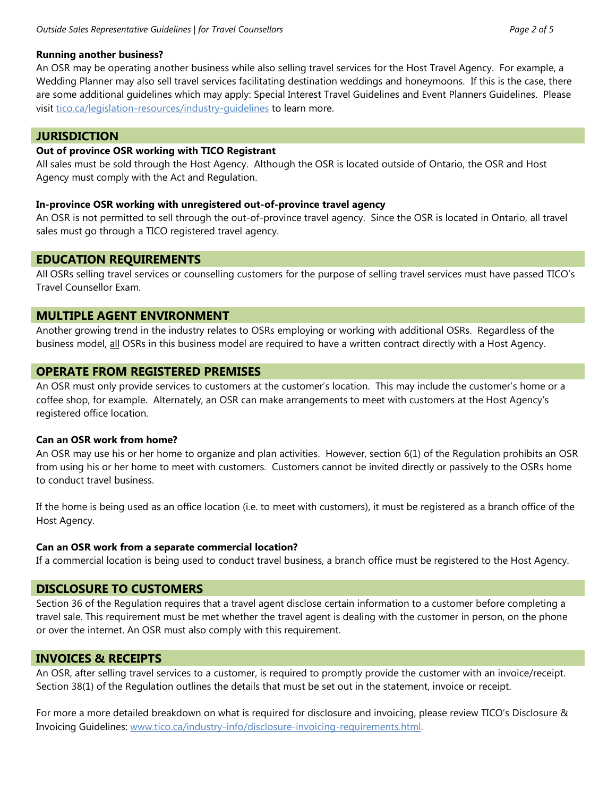## **Running another business?**

An OSR may be operating another business while also selling travel services for the Host Travel Agency. For example, a Wedding Planner may also sell travel services facilitating destination weddings and honeymoons. If this is the case, there are some additional guidelines which may apply: Special Interest Travel Guidelines and Event Planners Guidelines. Please visit [tico.ca/legislation-resources/industry-guidelines](http://www.tico.ca/legislation-resources/industry-guidelines.html) to learn more.

# **JURISDICTION**

## **Out of province OSR working with TICO Registrant**

All sales must be sold through the Host Agency. Although the OSR is located outside of Ontario, the OSR and Host Agency must comply with the Act and Regulation.

## **In-province OSR working with unregistered out-of-province travel agency**

An OSR is not permitted to sell through the out-of-province travel agency. Since the OSR is located in Ontario, all travel sales must go through a TICO registered travel agency.

# **EDUCATION REQUIREMENTS**

All OSRs selling travel services or counselling customers for the purpose of selling travel services must have passed TICO's Travel Counsellor Exam.

# **MULTIPLE AGENT ENVIRONMENT**

Another growing trend in the industry relates to OSRs employing or working with additional OSRs. Regardless of the business model, all OSRs in this business model are required to have a written contract directly with a Host Agency.

# **OPERATE FROM REGISTERED PREMISES**

An OSR must only provide services to customers at the customer's location. This may include the customer's home or a coffee shop, for example. Alternately, an OSR can make arrangements to meet with customers at the Host Agency's registered office location.

## **Can an OSR work from home?**

An OSR may use his or her home to organize and plan activities. However, section 6(1) of the Regulation prohibits an OSR from using his or her home to meet with customers. Customers cannot be invited directly or passively to the OSRs home to conduct travel business.

If the home is being used as an office location (i.e. to meet with customers), it must be registered as a branch office of the Host Agency.

# **Can an OSR work from a separate commercial location?**

If a commercial location is being used to conduct travel business, a branch office must be registered to the Host Agency.

# **DISCLOSURE TO CUSTOMERS**

Section 36 of the Regulation requires that a travel agent disclose certain information to a customer before completing a travel sale. This requirement must be met whether the travel agent is dealing with the customer in person, on the phone or over the internet. An OSR must also comply with this requirement.

# **INVOICES & RECEIPTS**

An OSR, after selling travel services to a customer, is required to promptly provide the customer with an invoice/receipt. Section 38(1) of the Regulation outlines the details that must be set out in the statement, invoice or receipt.

For more a more detailed breakdown on what is required for disclosure and invoicing, please review TICO's Disclosure & Invoicing Guidelines: [www.tico.ca/industry-info/disclosure-invoicing-requirements.html.](http://www.tico.ca/industry-info/disclosure-invoicing-requirements.html)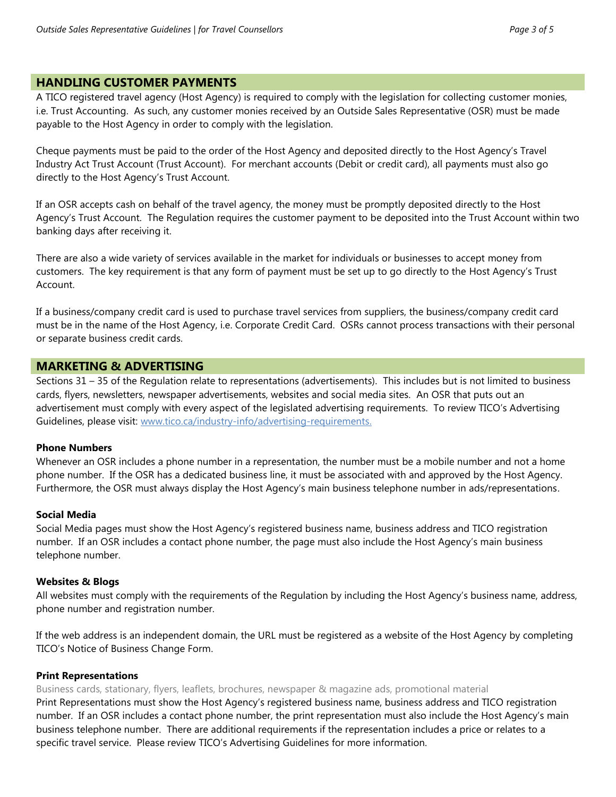# **HANDLING CUSTOMER PAYMENTS**

A TICO registered travel agency (Host Agency) is required to comply with the legislation for collecting customer monies, i.e. Trust Accounting. As such, any customer monies received by an Outside Sales Representative (OSR) must be made payable to the Host Agency in order to comply with the legislation.

Cheque payments must be paid to the order of the Host Agency and deposited directly to the Host Agency's Travel Industry Act Trust Account (Trust Account). For merchant accounts (Debit or credit card), all payments must also go directly to the Host Agency's Trust Account.

If an OSR accepts cash on behalf of the travel agency, the money must be promptly deposited directly to the Host Agency's Trust Account. The Regulation requires the customer payment to be deposited into the Trust Account within two banking days after receiving it.

There are also a wide variety of services available in the market for individuals or businesses to accept money from customers. The key requirement is that any form of payment must be set up to go directly to the Host Agency's Trust Account.

If a business/company credit card is used to purchase travel services from suppliers, the business/company credit card must be in the name of the Host Agency, i.e. Corporate Credit Card. OSRs cannot process transactions with their personal or separate business credit cards.

## **MARKETING & ADVERTISING**

Sections 31 – 35 of the Regulation relate to representations (advertisements). This includes but is not limited to business cards, flyers, newsletters, newspaper advertisements, websites and social media sites. An OSR that puts out an advertisement must comply with every aspect of the legislated advertising requirements. To review TICO's Advertising Guidelines, please visit: [www.tico.ca/industry-info/advertising-requirements.](http://www.tico.ca/industry-info/advertising-requirements.html)

## **Phone Numbers**

Whenever an OSR includes a phone number in a representation, the number must be a mobile number and not a home phone number. If the OSR has a dedicated business line, it must be associated with and approved by the Host Agency. Furthermore, the OSR must always display the Host Agency's main business telephone number in ads/representations.

#### **Social Media**

Social Media pages must show the Host Agency's registered business name, business address and TICO registration number. If an OSR includes a contact phone number, the page must also include the Host Agency's main business telephone number.

#### **Websites & Blogs**

All websites must comply with the requirements of the Regulation by including the Host Agency's business name, address, phone number and registration number.

If the web address is an independent domain, the URL must be registered as a website of the Host Agency by completing TICO's Notice of Business Change Form.

#### **Print Representations**

Business cards, stationary, flyers, leaflets, brochures, newspaper & magazine ads, promotional material

Print Representations must show the Host Agency's registered business name, business address and TICO registration number. If an OSR includes a contact phone number, the print representation must also include the Host Agency's main business telephone number. There are additional requirements if the representation includes a price or relates to a specific travel service. Please review TICO's Advertising Guidelines for more information.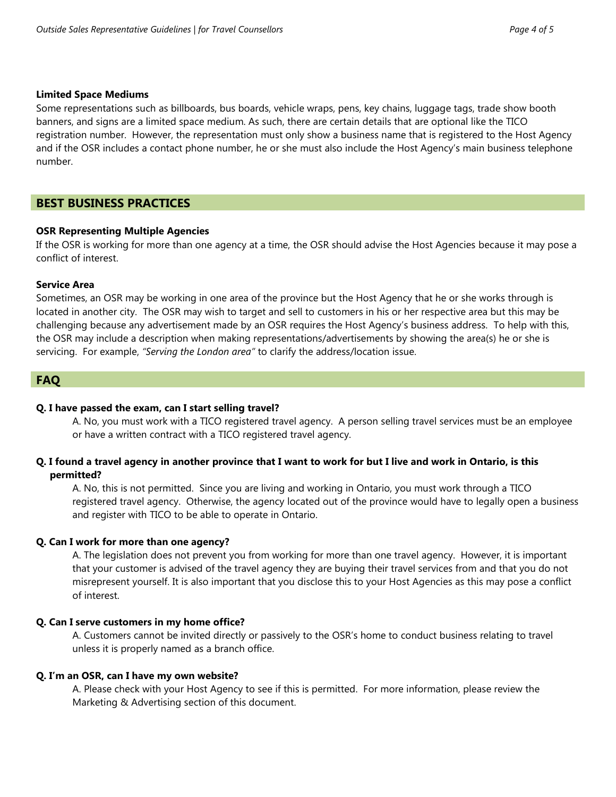#### **Limited Space Mediums**

Some representations such as billboards, bus boards, vehicle wraps, pens, key chains, luggage tags, trade show booth banners, and signs are a limited space medium. As such, there are certain details that are optional like the TICO registration number. However, the representation must only show a business name that is registered to the Host Agency and if the OSR includes a contact phone number, he or she must also include the Host Agency's main business telephone number.

## **BEST BUSINESS PRACTICES**

### **OSR Representing Multiple Agencies**

If the OSR is working for more than one agency at a time, the OSR should advise the Host Agencies because it may pose a conflict of interest.

#### **Service Area**

Sometimes, an OSR may be working in one area of the province but the Host Agency that he or she works through is located in another city. The OSR may wish to target and sell to customers in his or her respective area but this may be challenging because any advertisement made by an OSR requires the Host Agency's business address. To help with this, the OSR may include a description when making representations/advertisements by showing the area(s) he or she is servicing. For example, *"Serving the London area"* to clarify the address/location issue.

## **FAQ**

#### **Q. I have passed the exam, can I start selling travel?**

A. No, you must work with a TICO registered travel agency. A person selling travel services must be an employee or have a written contract with a TICO registered travel agency.

## **Q. I found a travel agency in another province that I want to work for but I live and work in Ontario, is this permitted?**

A. No, this is not permitted. Since you are living and working in Ontario, you must work through a TICO registered travel agency. Otherwise, the agency located out of the province would have to legally open a business and register with TICO to be able to operate in Ontario.

#### **Q. Can I work for more than one agency?**

A. The legislation does not prevent you from working for more than one travel agency. However, it is important that your customer is advised of the travel agency they are buying their travel services from and that you do not misrepresent yourself. It is also important that you disclose this to your Host Agencies as this may pose a conflict of interest.

#### **Q. Can I serve customers in my home office?**

A. Customers cannot be invited directly or passively to the OSR's home to conduct business relating to travel unless it is properly named as a branch office.

#### **Q. I'm an OSR, can I have my own website?**

A. Please check with your Host Agency to see if this is permitted. For more information, please review the Marketing & Advertising section of this document.